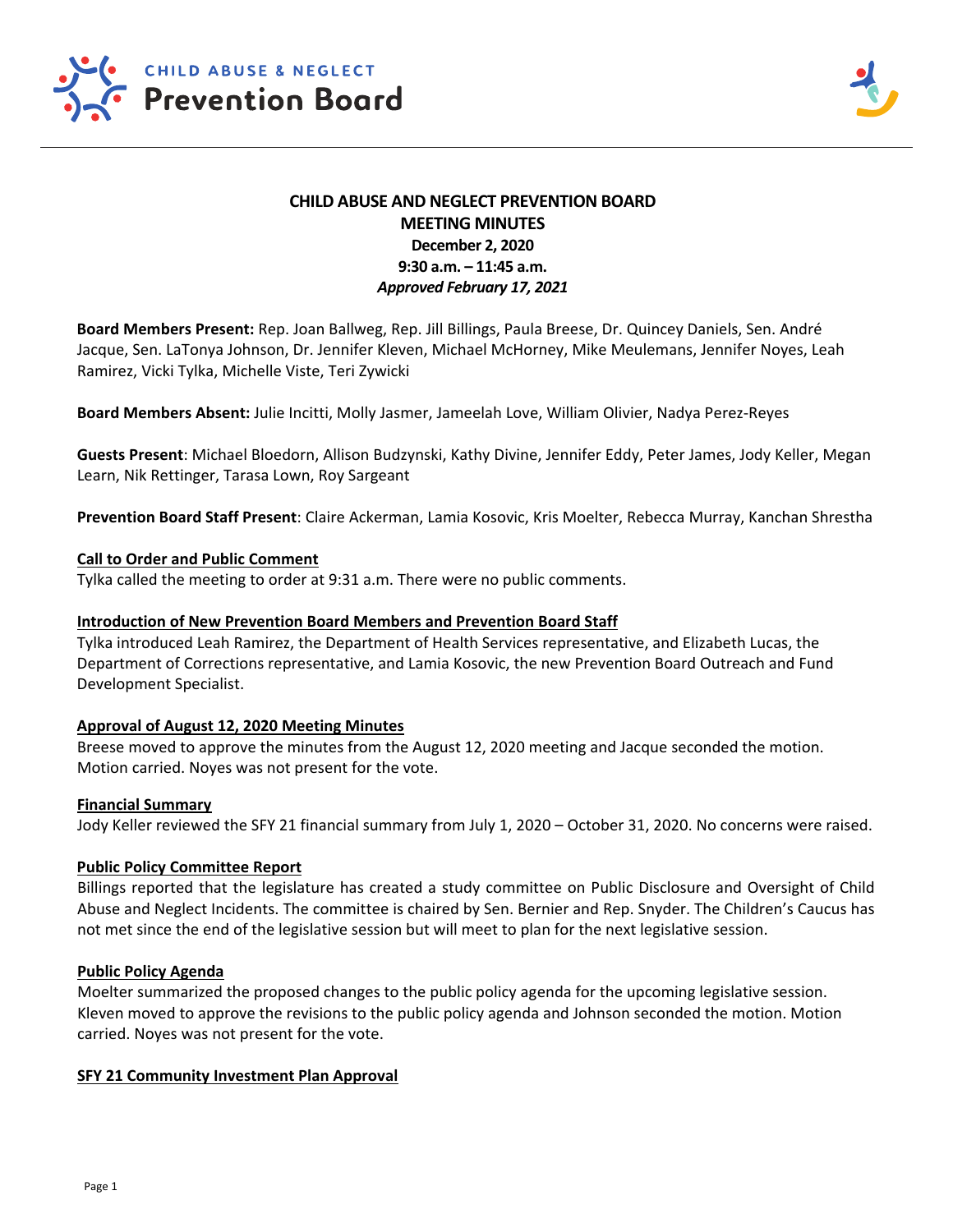

# **CHILD ABUSE AND NEGLECT PREVENTION BOARD MEETING MINUTES December 2, 2020 9:30 a.m. – 11:45 a.m.**  *Approved February 17, 2021*

**Board Members Present:** Rep. Joan Ballweg, Rep. Jill Billings, Paula Breese, Dr. Quincey Daniels, Sen. André Jacque, Sen. LaTonya Johnson, Dr. Jennifer Kleven, Michael McHorney, Mike Meulemans, Jennifer Noyes, Leah Ramirez, Vicki Tylka, Michelle Viste, Teri Zywicki

**Board Members Absent:** Julie Incitti, Molly Jasmer, Jameelah Love, William Olivier, Nadya Perez‐Reyes

**Guests Present**: Michael Bloedorn, Allison Budzynski, Kathy Divine, Jennifer Eddy, Peter James, Jody Keller, Megan Learn, Nik Rettinger, Tarasa Lown, Roy Sargeant

**Prevention Board Staff Present**: Claire Ackerman, Lamia Kosovic, Kris Moelter, Rebecca Murray, Kanchan Shrestha

### **Call to Order and Public Comment**

Tylka called the meeting to order at 9:31 a.m. There were no public comments.

### **Introduction of New Prevention Board Members and Prevention Board Staff**

Tylka introduced Leah Ramirez, the Department of Health Services representative, and Elizabeth Lucas, the Department of Corrections representative, and Lamia Kosovic, the new Prevention Board Outreach and Fund Development Specialist.

# **Approval of August 12, 2020 Meeting Minutes**

Breese moved to approve the minutes from the August 12, 2020 meeting and Jacque seconded the motion. Motion carried. Noyes was not present for the vote.

#### **Financial Summary**

Jody Keller reviewed the SFY 21 financial summary from July 1, 2020 – October 31, 2020. No concerns were raised.

#### **Public Policy Committee Report**

Billings reported that the legislature has created a study committee on Public Disclosure and Oversight of Child Abuse and Neglect Incidents. The committee is chaired by Sen. Bernier and Rep. Snyder. The Children's Caucus has not met since the end of the legislative session but will meet to plan for the next legislative session.

#### **Public Policy Agenda**

Moelter summarized the proposed changes to the public policy agenda for the upcoming legislative session. Kleven moved to approve the revisions to the public policy agenda and Johnson seconded the motion. Motion carried. Noyes was not present for the vote.

#### **SFY 21 Community Investment Plan Approval**